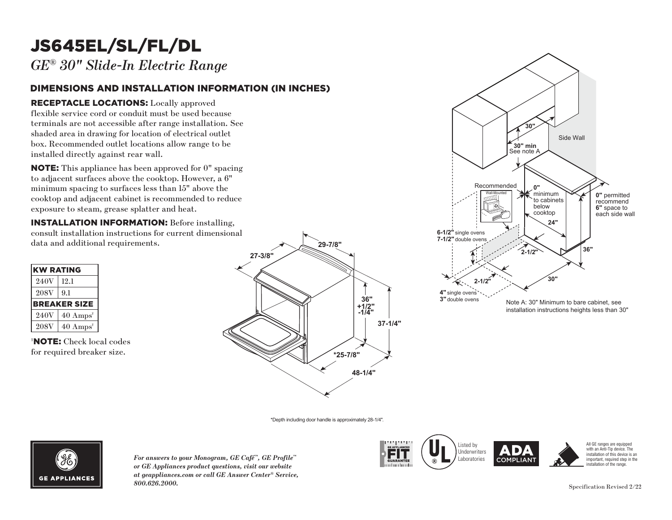# JS645EL/SL/FL/DL

*GE® 30" Slide-In Electric Range*

### DIMENSIONS AND INSTALLATION INFORMATION (IN INCHES)

### RECEPTACLE LOCATIONS: Locally approved

flexible service cord or conduit must be used because terminals are not accessible after range installation. See **30"** shaded area in drawing for location of electrical outlet box. Recommended outlet locations allow range to be installed directly against rear wall. must be used becauter range installation<br>tion of electrical out<br>tions allow range to<br>wall.<br>n approved for 0" sp<br>cooktop. However, a

**NOTE:** This appliance has been approved for 0" spacing to adjacent surfaces above the cooktop. However, a 6"  $\min$  spacing to surfaces less than  $15"$  above the minimum spacing to sarraces ress than 15 associate exposure to steam, grease splatter and heat. ase sp Recommended

**INSTALLATION INFORMATION:** Before installing, consult installation instructions for current dimensional **7-1/2"** double ovens

| <b>KW RATING</b> |                             |
|------------------|-----------------------------|
| 240V             | 12.1                        |
| <b>208V</b>      | 9.1                         |
|                  | <b>BREAKER SIZE</b>         |
| 240V             | $40 \text{ Amps}^{\dagger}$ |
| <b>208V</b>      | $40 \text{ Amps}^{\dagger}$ |

† NOTE: Check local codes for required breaker size.





\*Depth including door handle is approximately 28-1/4".



*For answers to your Monogram, GE Café<sup>™</sup>, GE Profile™ or GE Appliances product questions, visit our website at geappliances.com or call GE Answer Center® Service, 800.626.2000.* Specification Revised 2/22